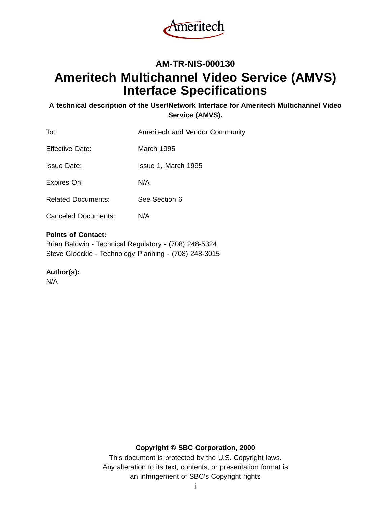

# **AM-TR-NIS-000130**

# **Ameritech Multichannel Video Service (AMVS) Interface Specifications**

# **A technical description of the User/Network Interface for Ameritech Multichannel Video Service (AMVS).**

| To:                       | Ameritech and Vendor Community |
|---------------------------|--------------------------------|
| Effective Date:           | March 1995                     |
| <b>Issue Date:</b>        | Issue 1, March 1995            |
| Expires On:               | N/A                            |
| <b>Related Documents:</b> | See Section 6                  |
| Canceled Documents:       | N/A                            |

# **Points of Contact:**

Brian Baldwin - Technical Regulatory - (708) 248-5324 Steve Gloeckle - Technology Planning - (708) 248-3015

#### **Author(s):**

N/A

#### **Copyright © SBC Corporation, 2000**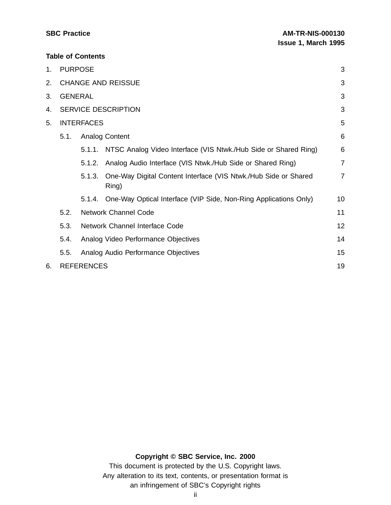| <b>AM-TR-NIS-000130</b>    |  |
|----------------------------|--|
| <b>Issue 1, March 1995</b> |  |

#### **Table of Contents**

| 1. |                | <b>PURPOSE</b>    |                                                                          | 3              |
|----|----------------|-------------------|--------------------------------------------------------------------------|----------------|
| 2. |                |                   | <b>CHANGE AND REISSUE</b>                                                | 3              |
| 3. | <b>GENERAL</b> |                   |                                                                          | 3              |
| 4. |                |                   | <b>SERVICE DESCRIPTION</b>                                               | 3              |
| 5. |                | <b>INTERFACES</b> |                                                                          | 5              |
|    | 5.1.           |                   | Analog Content                                                           | 6              |
|    |                | 5.1.1.            | NTSC Analog Video Interface (VIS Ntwk./Hub Side or Shared Ring)          | 6              |
|    |                | 5.1.2.            | Analog Audio Interface (VIS Ntwk./Hub Side or Shared Ring)               | 7              |
|    |                | 5.1.3.            | One-Way Digital Content Interface (VIS Ntwk./Hub Side or Shared<br>Ring) | $\overline{7}$ |
|    |                |                   | 5.1.4. One-Way Optical Interface (VIP Side, Non-Ring Applications Only)  | 10             |
|    | 5.2.           |                   | <b>Network Channel Code</b>                                              | 11             |
|    | 5.3.           |                   | Network Channel Interface Code                                           | 12             |
|    | 5.4.           |                   | Analog Video Performance Objectives                                      | 14             |
|    | 5.5.           |                   | Analog Audio Performance Objectives                                      | 15             |
| 6. |                | <b>REFERENCES</b> |                                                                          | 19             |

### **Copyright © SBC Service, Inc. 2000**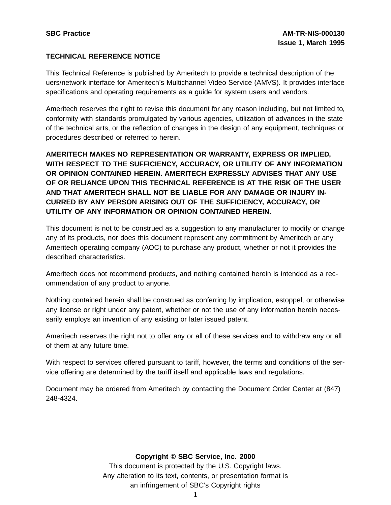### **TECHNICAL REFERENCE NOTICE**

This Technical Reference is published by Ameritech to provide a technical description of the uers/network interface for Ameritech's Multichannel Video Service (AMVS). It provides interface specifications and operating requirements as a guide for system users and vendors.

Ameritech reserves the right to revise this document for any reason including, but not limited to, conformity with standards promulgated by various agencies, utilization of advances in the state of the technical arts, or the reflection of changes in the design of any equipment, techniques or procedures described or referred to herein.

**AMERITECH MAKES NO REPRESENTATION OR WARRANTY, EXPRESS OR IMPLIED, WITH RESPECT TO THE SUFFICIENCY, ACCURACY, OR UTILITY OF ANY INFORMATION OR OPINION CONTAINED HEREIN. AMERITECH EXPRESSLY ADVISES THAT ANY USE OF OR RELIANCE UPON THIS TECHNICAL REFERENCE IS AT THE RISK OF THE USER AND THAT AMERITECH SHALL NOT BE LIABLE FOR ANY DAMAGE OR INJURY IN-CURRED BY ANY PERSON ARISING OUT OF THE SUFFICIENCY, ACCURACY, OR UTILITY OF ANY INFORMATION OR OPINION CONTAINED HEREIN.**

This document is not to be construed as a suggestion to any manufacturer to modify or change any of its products, nor does this document represent any commitment by Ameritech or any Ameritech operating company (AOC) to purchase any product, whether or not it provides the described characteristics.

Ameritech does not recommend products, and nothing contained herein is intended as a recommendation of any product to anyone.

Nothing contained herein shall be construed as conferring by implication, estoppel, or otherwise any license or right under any patent, whether or not the use of any information herein necessarily employs an invention of any existing or later issued patent.

Ameritech reserves the right not to offer any or all of these services and to withdraw any or all of them at any future time.

With respect to services offered pursuant to tariff, however, the terms and conditions of the service offering are determined by the tariff itself and applicable laws and regulations.

Document may be ordered from Ameritech by contacting the Document Order Center at (847) 248-4324.

#### **Copyright © SBC Service, Inc. 2000**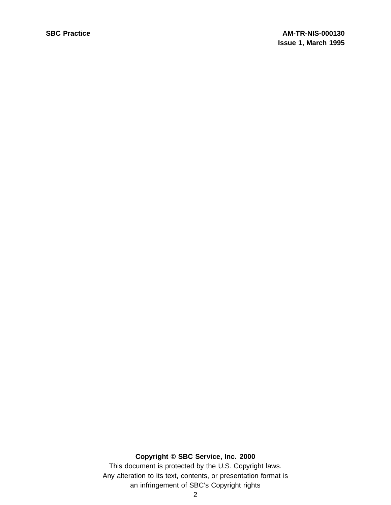# **Copyright © SBC Service, Inc. 2000**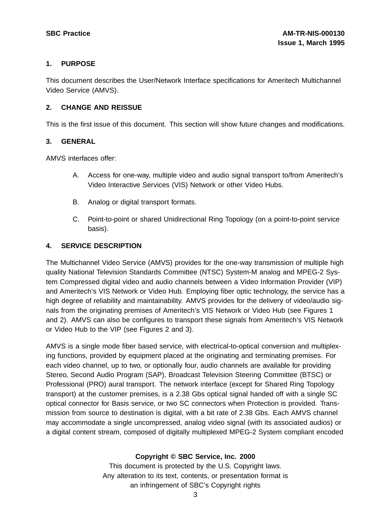### **1. PURPOSE**

This document describes the User/Network Interface specifications for Ameritech Multichannel Video Service (AMVS).

### **2. CHANGE AND REISSUE**

This is the first issue of this document. This section will show future changes and modifications.

### **3. GENERAL**

AMVS interfaces offer:

- A. Access for one-way, multiple video and audio signal transport to/from Ameritech's Video Interactive Services (VIS) Network or other Video Hubs.
- B. Analog or digital transport formats.
- C. Point-to-point or shared Unidirectional Ring Topology (on a point-to-point service basis).

### **4. SERVICE DESCRIPTION**

The Multichannel Video Service (AMVS) provides for the one-way transmission of multiple high quality National Television Standards Committee (NTSC) System-M analog and MPEG-2 System Compressed digital video and audio channels between a Video Information Provider (VIP) and Ameritech's VIS Network or Video Hub. Employing fiber optic technology, the service has a high degree of reliability and maintainability. AMVS provides for the delivery of video/audio signals from the originating premises of Ameritech's VIS Network or Video Hub (see Figures 1 and 2). AMVS can also be configures to transport these signals from Ameritech's VIS Network or Video Hub to the VIP (see Figures 2 and 3).

AMVS is a single mode fiber based service, with electrical-to-optical conversion and multiplexing functions, provided by equipment placed at the originating and terminating premises. For each video channel, up to two, or optionally four, audio channels are available for providing Stereo, Second Audio Program (SAP), Broadcast Television Steering Committee (BTSC) or Professional (PRO) aural transport. The network interface (except for Shared Ring Topology transport) at the customer premises, is a 2.38 Gbs optical signal handed off with a single SC optical connector for Basis service, or two SC connectors when Protection is provided. Transmission from source to destination is digital, with a bit rate of 2.38 Gbs. Each AMVS channel may accommodate a single uncompressed, analog video signal (with its associated audios) or a digital content stream, composed of digitally multiplexed MPEG-2 System compliant encoded

# **Copyright © SBC Service, Inc. 2000**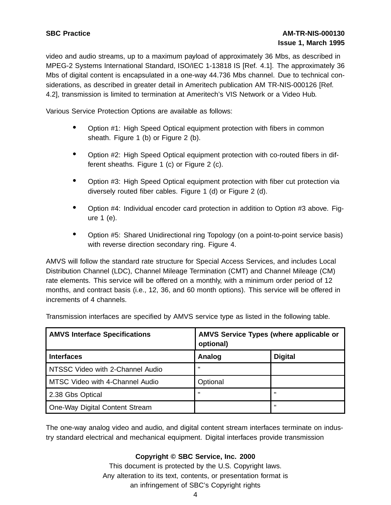video and audio streams, up to a maximum payload of approximately 36 Mbs, as described in MPEG-2 Systems International Standard, ISO/IEC 1-13818 IS [Ref. 4.1]. The approximately 36 Mbs of digital content is encapsulated in a one-way 44.736 Mbs channel. Due to technical considerations, as described in greater detail in Ameritech publication AM TR-NIS-000126 [Ref. 4.2], transmission is limited to termination at Ameritech's VIS Network or a Video Hub.

Various Service Protection Options are available as follows:

- Option #1: High Speed Optical equipment protection with fibers in common sheath. Figure 1 (b) or Figure 2 (b).
- Option #2: High Speed Optical equipment protection with co-routed fibers in different sheaths. Figure 1 (c) or Figure 2 (c).
- Option #3: High Speed Optical equipment protection with fiber cut protection via diversely routed fiber cables. Figure 1 (d) or Figure 2 (d).
- Option #4: Individual encoder card protection in addition to Option #3 above. Figure 1 (e).
- Option #5: Shared Unidirectional ring Topology (on <sup>a</sup> point-to-point service basis) with reverse direction secondary ring. Figure 4.

AMVS will follow the standard rate structure for Special Access Services, and includes Local Distribution Channel (LDC), Channel Mileage Termination (CMT) and Channel Mileage (CM) rate elements. This service will be offered on a monthly, with a minimum order period of 12 months, and contract basis (i.e., 12, 36, and 60 month options). This service will be offered in increments of 4 channels.

| <b>AMVS Interface Specifications</b> | AMVS Service Types (where applicable or<br>optional) |                |  |
|--------------------------------------|------------------------------------------------------|----------------|--|
| <b>Interfaces</b>                    | Analog                                               | <b>Digital</b> |  |
| NTSSC Video with 2-Channel Audio     | π                                                    |                |  |
| MTSC Video with 4-Channel Audio      | Optional                                             |                |  |
| 2.38 Gbs Optical                     | "                                                    | $\mathbf{u}$   |  |
| One-Way Digital Content Stream       |                                                      | ш              |  |

Transmission interfaces are specified by AMVS service type as listed in the following table.

The one-way analog video and audio, and digital content stream interfaces terminate on industry standard electrical and mechanical equipment. Digital interfaces provide transmission

#### **Copyright © SBC Service, Inc. 2000**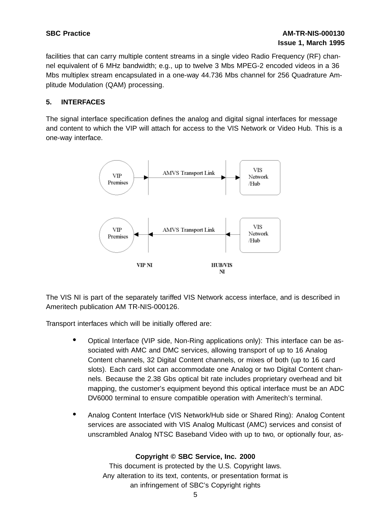facilities that can carry multiple content streams in a single video Radio Frequency (RF) channel equivalent of 6 MHz bandwidth; e.g., up to twelve 3 Mbs MPEG-2 encoded videos in a 36 Mbs multiplex stream encapsulated in a one-way 44.736 Mbs channel for 256 Quadrature Amplitude Modulation (QAM) processing.

# **5. INTERFACES**

The signal interface specification defines the analog and digital signal interfaces for message and content to which the VIP will attach for access to the VIS Network or Video Hub. This is a one-way interface.



The VIS NI is part of the separately tariffed VIS Network access interface, and is described in Ameritech publication AM TR-NIS-000126.

Transport interfaces which will be initially offered are:

- Optical Interface (VIP side, Non-Ring applications only): This interface can be associated with AMC and DMC services, allowing transport of up to 16 Analog Content channels, 32 Digital Content channels, or mixes of both (up to 16 card slots). Each card slot can accommodate one Analog or two Digital Content channels. Because the 2.38 Gbs optical bit rate includes proprietary overhead and bit mapping, the customer's equipment beyond this optical interface must be an ADC DV6000 terminal to ensure compatible operation with Ameritech's terminal.
- Analog Content Interface (VIS Network/Hub side or Shared Ring): Analog Content services are associated with VIS Analog Multicast (AMC) services and consist of unscrambled Analog NTSC Baseband Video with up to two, or optionally four, as-

# **Copyright © SBC Service, Inc. 2000**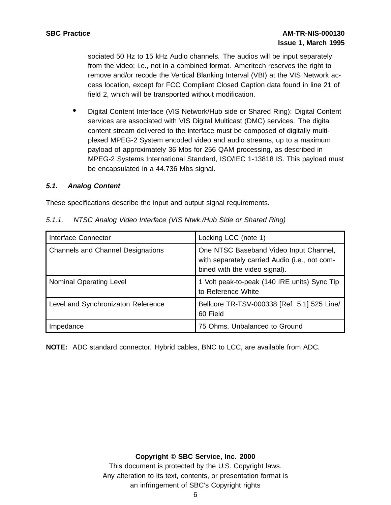sociated 50 Hz to 15 kHz Audio channels. The audios will be input separately from the video; i.e., not in a combined format. Ameritech reserves the right to remove and/or recode the Vertical Blanking Interval (VBI) at the VIS Network access location, except for FCC Compliant Closed Caption data found in line 21 of field 2, which will be transported without modification.

• Digital Content Interface (VIS Network/Hub side or Shared Ring): Digital Content services are associated with VIS Digital Multicast (DMC) services. The digital content stream delivered to the interface must be composed of digitally multiplexed MPEG-2 System encoded video and audio streams, up to a maximum payload of approximately 36 Mbs for 256 QAM processing, as described in MPEG-2 Systems International Standard, ISO/IEC 1-13818 IS. This payload must be encapsulated in a 44.736 Mbs signal.

### **5.1. Analog Content**

These specifications describe the input and output signal requirements.

| Interface Connector                      | Locking LCC (note 1)                                                                                                     |
|------------------------------------------|--------------------------------------------------------------------------------------------------------------------------|
| <b>Channels and Channel Designations</b> | One NTSC Baseband Video Input Channel,<br>with separately carried Audio (i.e., not com-<br>bined with the video signal). |
| <b>Nominal Operating Level</b>           | 1 Volt peak-to-peak (140 IRE units) Sync Tip<br>to Reference White                                                       |
| Level and Synchronizaton Reference       | Bellcore TR-TSV-000338 [Ref. 5.1] 525 Line/<br>60 Field                                                                  |
| Impedance                                | 75 Ohms, Unbalanced to Ground                                                                                            |

# 5.1.1. NTSC Analog Video Interface (VIS Ntwk./Hub Side or Shared Ring)

**NOTE:** ADC standard connector. Hybrid cables, BNC to LCC, are available from ADC.

**Copyright © SBC Service, Inc. 2000**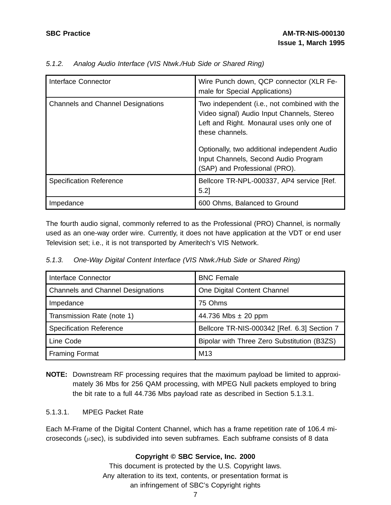| Interface Connector                      | Wire Punch down, QCP connector (XLR Fe-<br>male for Special Applications)                                                                                                                                                                                                           |
|------------------------------------------|-------------------------------------------------------------------------------------------------------------------------------------------------------------------------------------------------------------------------------------------------------------------------------------|
| <b>Channels and Channel Designations</b> | Two independent (i.e., not combined with the<br>Video signal) Audio Input Channels, Stereo<br>Left and Right. Monaural uses only one of<br>these channels.<br>Optionally, two additional independent Audio<br>Input Channels, Second Audio Program<br>(SAP) and Professional (PRO). |
| <b>Specification Reference</b>           | Bellcore TR-NPL-000337, AP4 service [Ref.<br>5.2                                                                                                                                                                                                                                    |
| Impedance                                | 600 Ohms, Balanced to Ground                                                                                                                                                                                                                                                        |

#### 5.1.2. Analog Audio Interface (VIS Ntwk./Hub Side or Shared Ring)

The fourth audio signal, commonly referred to as the Professional (PRO) Channel, is normally used as an one-way order wire. Currently, it does not have application at the VDT or end user Television set; i.e., it is not transported by Ameritech's VIS Network.

| 5.1.3. | One-Way Digital Content Interface (VIS Ntwk./Hub Side or Shared Ring) |  |  |
|--------|-----------------------------------------------------------------------|--|--|
|--------|-----------------------------------------------------------------------|--|--|

| Interface Connector                      | <b>BNC Female</b>                           |
|------------------------------------------|---------------------------------------------|
| <b>Channels and Channel Designations</b> | One Digital Content Channel                 |
| Impedance                                | 75 Ohms                                     |
| Transmission Rate (note 1)               | 44.736 Mbs $\pm$ 20 ppm                     |
| <b>Specification Reference</b>           | Bellcore TR-NIS-000342 [Ref. 6.3] Section 7 |
| Line Code                                | Bipolar with Three Zero Substitution (B3ZS) |
| <b>Framing Format</b>                    | M <sub>13</sub>                             |

**NOTE:** Downstream RF processing requires that the maximum payload be limited to approximately 36 Mbs for 256 QAM processing, with MPEG Null packets employed to bring the bit rate to a full 44.736 Mbs payload rate as described in Section 5.1.3.1.

#### 5.1.3.1. MPEG Packet Rate

Each M-Frame of the Digital Content Channel, which has a frame repetition rate of 106.4 microseconds ( $\mu$ sec), is subdivided into seven subframes. Each subframe consists of 8 data

#### **Copyright © SBC Service, Inc. 2000**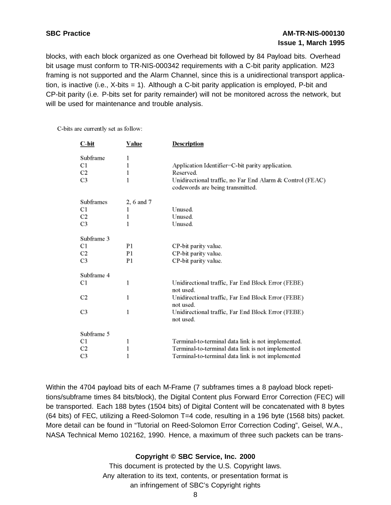blocks, with each block organized as one Overhead bit followed by 84 Payload bits. Overhead bit usage must conform to TR-NIS-000342 requirements with a C-bit parity application. M23 framing is not supported and the Alarm Channel, since this is a unidirectional transport application, is inactive (i.e., X-bits = 1). Although a C-bit parity application is employed, P-bit and CP-bit parity (i.e. P-bits set for parity remainder) will not be monitored across the network, but will be used for maintenance and trouble analysis.

C-bits are currently set as follow:

| C-bit          | Value      | <b>Description</b>                                                                            |
|----------------|------------|-----------------------------------------------------------------------------------------------|
| Subframe       | 1          |                                                                                               |
| C1             | 1          | Application Identifier=C-bit parity application.                                              |
| C2             | 1          | Reserved.                                                                                     |
| C3             | 1          | Unidirectional traffic, no Far End Alarm & Control (FEAC)<br>codewords are being transmitted. |
| Subframes      | 2, 6 and 7 |                                                                                               |
| C1             | 1          | Unused.                                                                                       |
| C2             | 1          | Unused.                                                                                       |
| C3             | 1          | Unused.                                                                                       |
| Subframe 3     |            |                                                                                               |
| C1             | P1         | CP-bit parity value.                                                                          |
| C <sub>2</sub> | P1         | CP-bit parity value.                                                                          |
| C <sub>3</sub> | P1         | CP-bit parity value.                                                                          |
| Subframe 4     |            |                                                                                               |
| C1             | 1          | Unidirectional traffic, Far End Block Error (FEBE)<br>not used.                               |
| C2             | 1          | Unidirectional traffic, Far End Block Error (FEBE)<br>not used.                               |
| C3             | 1          | Unidirectional traffic, Far End Block Error (FEBE)<br>not used.                               |
| Subframe 5     |            |                                                                                               |
| C1             | 1          | Terminal-to-terminal data link is not implemented.                                            |
| C <sub>2</sub> | 1          | Terminal-to-terminal data link is not implemented                                             |
| C <sub>3</sub> | 1          | Terminal-to-terminal data link is not implemented                                             |
|                |            |                                                                                               |

Within the 4704 payload bits of each M-Frame (7 subframes times a 8 payload block repetitions/subframe times 84 bits/block), the Digital Content plus Forward Error Correction (FEC) will be transported. Each 188 bytes (1504 bits) of Digital Content will be concatenated with 8 bytes (64 bits) of FEC, utilizing a Reed-Solomon T=4 code, resulting in a 196 byte (1568 bits) packet. More detail can be found in "Tutorial on Reed-Solomon Error Correction Coding", Geisel, W.A., NASA Technical Memo 102162, 1990. Hence, a maximum of three such packets can be trans-

#### **Copyright © SBC Service, Inc. 2000**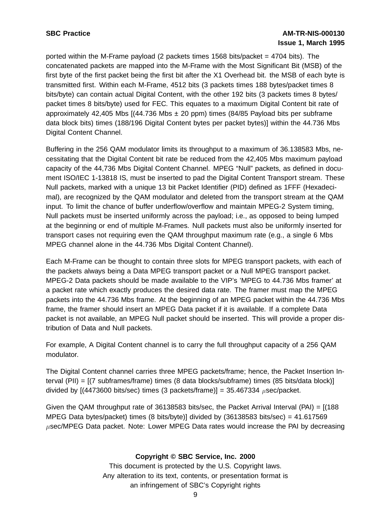### **SBC Practice AM-TR-NIS-000130 Issue 1, March 1995**

ported within the M-Frame payload (2 packets times 1568 bits/packet = 4704 bits). The concatenated packets are mapped into the M-Frame with the Most Significant Bit (MSB) of the first byte of the first packet being the first bit after the X1 Overhead bit. the MSB of each byte is transmitted first. Within each M-Frame, 4512 bits (3 packets times 188 bytes/packet times 8 bits/byte) can contain actual Digital Content, with the other 192 bits (3 packets times 8 bytes/ packet times 8 bits/byte) used for FEC. This equates to a maximum Digital Content bit rate of approximately 42,405 Mbs  $(44.736$  Mbs  $\pm$  20 ppm) times (84/85 Payload bits per subframe data block bits) times (188/196 Digital Content bytes per packet bytes)] within the 44.736 Mbs Digital Content Channel.

Buffering in the 256 QAM modulator limits its throughput to a maximum of 36.138583 Mbs, necessitating that the Digital Content bit rate be reduced from the 42,405 Mbs maximum payload capacity of the 44,736 Mbs Digital Content Channel. MPEG "Null" packets, as defined in document ISO/IEC 1-13818 IS, must be inserted to pad the Digital Content Transport stream. These Null packets, marked with a unique 13 bit Packet Identifier (PID) defined as 1FFF (Hexadecimal), are recognized by the QAM modulator and deleted from the transport stream at the QAM input. To limit the chance of buffer underflow/overflow and maintain MPEG-2 System timing, Null packets must be inserted uniformly across the payload; i.e., as opposed to being lumped at the beginning or end of multiple M-Frames. Null packets must also be uniformly inserted for transport cases not requiring even the QAM throughput maximum rate (e.g., a single 6 Mbs MPEG channel alone in the 44.736 Mbs Digital Content Channel).

Each M-Frame can be thought to contain three slots for MPEG transport packets, with each of the packets always being a Data MPEG transport packet or a Null MPEG transport packet. MPEG-2 Data packets should be made available to the VIP's 'MPEG to 44.736 Mbs framer' at a packet rate which exactly produces the desired data rate. The framer must map the MPEG packets into the 44.736 Mbs frame. At the beginning of an MPEG packet within the 44.736 Mbs frame, the framer should insert an MPEG Data packet if it is available. If a complete Data packet is not available, an MPEG Null packet should be inserted. This will provide a proper distribution of Data and Null packets.

For example, A Digital Content channel is to carry the full throughput capacity of a 256 QAM modulator.

The Digital Content channel carries three MPEG packets/frame; hence, the Packet Insertion Interval (PII) = [(7 subframes/frame) times (8 data blocks/subframe) times (85 bits/data block)] divided by  $[(4473600 \text{ bits/sec})$  times  $(3 \text{ packets}/\text{frame})] = 35.467334 \mu \text{sec}/\text{packet}$ .

Given the QAM throughput rate of 36138583 bits/sec, the Packet Arrival Interval (PAI) = [(188 MPEG Data bytes/packet) times  $(8 \text{ bits/byte})$  divided by  $(36138583 \text{ bits/sec}) = 41.617569$  $\mu$ sec/MPEG Data packet. Note: Lower MPEG Data rates would increase the PAI by decreasing

#### **Copyright © SBC Service, Inc. 2000**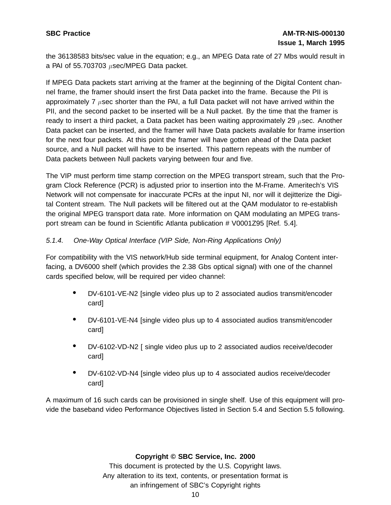the 36138583 bits/sec value in the equation; e.g., an MPEG Data rate of 27 Mbs would result in a PAI of 55.703703  $\mu$ sec/MPEG Data packet.

If MPEG Data packets start arriving at the framer at the beginning of the Digital Content channel frame, the framer should insert the first Data packet into the frame. Because the PII is approximately 7  $\mu$ sec shorter than the PAI, a full Data packet will not have arrived within the PII, and the second packet to be inserted will be a Null packet. By the time that the framer is ready to insert a third packet, a Data packet has been waiting approximately 29  $\mu$ sec. Another Data packet can be inserted, and the framer will have Data packets available for frame insertion for the next four packets. At this point the framer will have gotten ahead of the Data packet source, and a Null packet will have to be inserted. This pattern repeats with the number of Data packets between Null packets varying between four and five.

The VIP must perform time stamp correction on the MPEG transport stream, such that the Program Clock Reference (PCR) is adjusted prior to insertion into the M-Frame. Ameritech's VIS Network will not compensate for inaccurate PCRs at the input NI, nor will it dejitterize the Digital Content stream. The Null packets will be filtered out at the QAM modulator to re-establish the original MPEG transport data rate. More information on QAM modulating an MPEG transport stream can be found in Scientific Atlanta publication # V0001Z95 [Ref. 5.4].

# 5.1.4. One-Way Optical Interface (VIP Side, Non-Ring Applications Only)

For compatibility with the VIS network/Hub side terminal equipment, for Analog Content interfacing, a DV6000 shelf (which provides the 2.38 Gbs optical signal) with one of the channel cards specified below, will be required per video channel:

- DV-6101-VE-N2 [single video plus up to <sup>2</sup> associated audios transmit/encoder card]
- DV-6101-VE-N4 [single video plus up to <sup>4</sup> associated audios transmit/encoder card]
- DV-6102-VD-N2 [ single video plus up to <sup>2</sup> associated audios receive/decoder card]
- DV-6102-VD-N4 [single video plus up to <sup>4</sup> associated audios receive/decoder card]

A maximum of 16 such cards can be provisioned in single shelf. Use of this equipment will provide the baseband video Performance Objectives listed in Section 5.4 and Section 5.5 following.

#### **Copyright © SBC Service, Inc. 2000**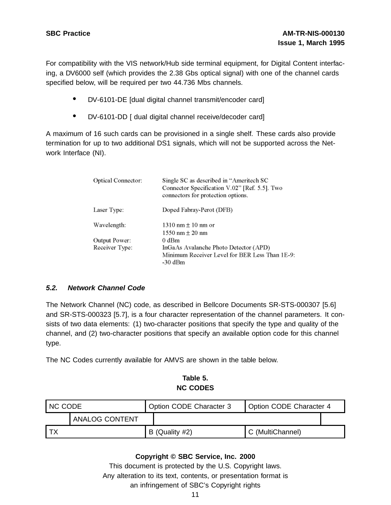For compatibility with the VIS network/Hub side terminal equipment, for Digital Content interfacing, a DV6000 self (which provides the 2.38 Gbs optical signal) with one of the channel cards specified below, will be required per two 44.736 Mbs channels.

- DV-6101-DE [dual digital channel transmit/encoder card]
- DV-6101-DD [ dual digital channel receive/decoder card]

A maximum of 16 such cards can be provisioned in a single shelf. These cards also provide termination for up to two additional DS1 signals, which will not be supported across the Network Interface (NI).

| Optical Connector: | Single SC as described in "Ameritech SC<br>Connector Specification V.02" [Ref. 5.5]. Two<br>connectors for protection options. |
|--------------------|--------------------------------------------------------------------------------------------------------------------------------|
| Laser Type:        | Doped Fabray-Perot (DFB)                                                                                                       |
| Wavelength:        | $1310 \text{ nm} \pm 10 \text{ nm}$ or<br>$1550 \text{ nm} \pm 20 \text{ nm}$                                                  |
| Output Power:      | 0 dBm                                                                                                                          |
| Receiver Type:     | InGaAs Avalanche Photo Detector (APD)                                                                                          |
|                    | Minimum Receiver Level for BER Less Than 1E-9:<br>-30 dBm                                                                      |

# **5.2. Network Channel Code**

The Network Channel (NC) code, as described in Bellcore Documents SR-STS-000307 [5.6] and SR-STS-000323 [5.7], is a four character representation of the channel parameters. It consists of two data elements: (1) two-character positions that specify the type and quality of the channel, and (2) two-character positions that specify an available option code for this channel type.

The NC Codes currently available for AMVS are shown in the table below.

**Table 5. NC CODES**

| NC CODE |                       | Option CODE Character 3 |                | Option CODE Character 4 |  |
|---------|-----------------------|-------------------------|----------------|-------------------------|--|
|         | <b>ANALOG CONTENT</b> |                         |                |                         |  |
|         |                       |                         | B (Quality #2) | C (MultiChannel)        |  |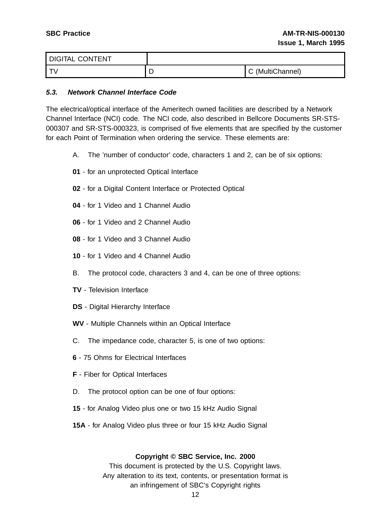| DIGITAL CONTENT |   |                  |
|-----------------|---|------------------|
|                 | ┕ | C (MultiChannel) |

#### **5.3. Network Channel Interface Code**

The electrical/optical interface of the Ameritech owned facilities are described by a Network Channel Interface (NCI) code. The NCI code, also described in Bellcore Documents SR-STS-000307 and SR-STS-000323, is comprised of five elements that are specified by the customer for each Point of Termination when ordering the service. These elements are:

- A. The 'number of conductor' code, characters 1 and 2, can be of six options:
- **01** for an unprotected Optical Interface
- **02** for a Digital Content Interface or Protected Optical
- **04** for 1 Video and 1 Channel Audio
- **06** for 1 Video and 2 Channel Audio
- **08** for 1 Video and 3 Channel Audio
- **10** for 1 Video and 4 Channel Audio
- B. The protocol code, characters 3 and 4, can be one of three options:
- **TV** Television Interface
- **DS** Digital Hierarchy Interface
- **WV** Multiple Channels within an Optical Interface
- C. The impedance code, character 5, is one of two options:
- **6** 75 Ohms for Electrical Interfaces
- **F** Fiber for Optical Interfaces
- D. The protocol option can be one of four options:
- **15** for Analog Video plus one or two 15 kHz Audio Signal
- **15A** for Analog Video plus three or four 15 kHz Audio Signal

#### **Copyright © SBC Service, Inc. 2000**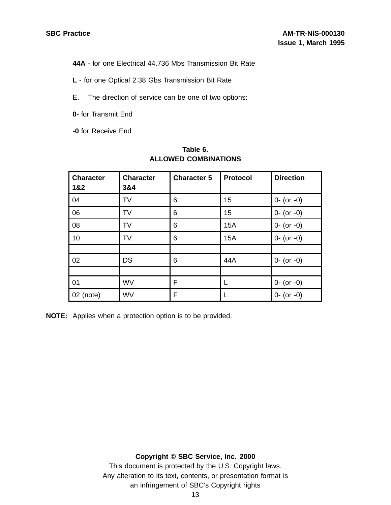**44A** - for one Electrical 44.736 Mbs Transmission Bit Rate

- **L** for one Optical 2.38 Gbs Transmission Bit Rate
- E. The direction of service can be one of two options:
- **0-** for Transmit End

**-0** for Receive End

| <b>Character</b><br>1&2 | <b>Character</b><br>3&4 | <b>Character 5</b> | <b>Protocol</b> | <b>Direction</b> |
|-------------------------|-------------------------|--------------------|-----------------|------------------|
| 04                      | <b>TV</b>               | 6                  | 15              | $0 - (or -0)$    |
| 06                      | <b>TV</b>               | 6                  | 15              | $0 - (or -0)$    |
| 08                      | <b>TV</b>               | 6                  | 15A             | $0 - (or -0)$    |
| 10                      | <b>TV</b>               | 6                  | 15A             | $0 - (or -0)$    |
|                         |                         |                    |                 |                  |
| 02                      | <b>DS</b>               | 6                  | 44A             | $0 - (or -0)$    |
|                         |                         |                    |                 |                  |
| 01                      | <b>WV</b>               | F                  |                 | $0 - (or -0)$    |
| 02 (note)               | <b>WV</b>               | F                  |                 | $0 - (or -0)$    |

# **Table 6. ALLOWED COMBINATIONS**

**NOTE:** Applies when a protection option is to be provided.

#### **Copyright © SBC Service, Inc. 2000**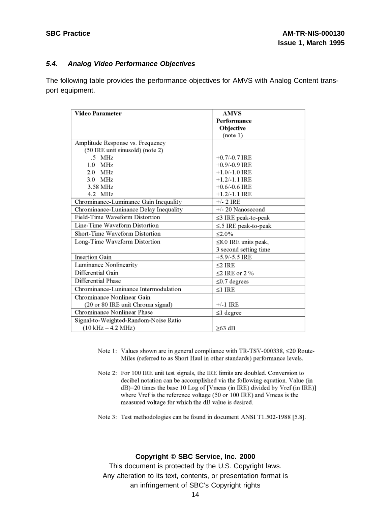#### **5.4. Analog Video Performance Objectives**

The following table provides the performance objectives for AMVS with Analog Content transport equipment.

| <b>Video Parameter</b>                 | <b>AMVS</b>                |  |
|----------------------------------------|----------------------------|--|
|                                        | Performance                |  |
|                                        | Objective                  |  |
|                                        | (note 1)                   |  |
| Amplitude Response vs. Frequency       |                            |  |
| (50 IRE unit sinusold) (note 2)        |                            |  |
| $.5$ MHz                               | $+0.7/-0.7$ IRE            |  |
| $1.0$ MHz                              | $+0.9$ /-0.9 IRE           |  |
| $2.0$ MHz                              | $+1.0$ /-1.0 IRE           |  |
| $3.0$ MHz                              | $+1.2/-1.1$ IRE            |  |
| 3.58 MHz                               | $+0.6/-0.6$ IRE            |  |
| 4.2 MHz                                | $+1.2/-1.1$ IRE            |  |
| Chrominance-Luminance Gain Inequality  | $+/- 2$ IRE                |  |
| Chrominance-Luninance Delay Inequality | $+/- 20$ Nanosecond        |  |
| Field-Time Waveform Distortion         | $\leq$ 3 IRE peak-to-peak  |  |
| Line-Time Waveform Distortion          | $\leq$ .5 IRE peak-to-peak |  |
| Short-Time Waveform Distortion         | $\leq 2.0\%$               |  |
| Long-Time Waveform Distortion          | $\leq$ 8.0 IRE units peak, |  |
|                                        | 3 second setting time      |  |
| <b>Insertion Gain</b>                  | $+5.9$ /-5.5 IRE           |  |
| Luminance Nonlinearity                 | $\leq$ 2 IRE               |  |
| Differential Gain                      | ≤2 IRE or 2 %              |  |
| Differential Phase                     | $\leq$ 0.7 degrees         |  |
| Chrominance-Luninance Intermodulation  | $\leq$ 1 IRE               |  |
| Chrominance Nonlinear Gain             |                            |  |
| (20 or 80 IRE unit Chroma signal)      | $+/-1$ IRE                 |  |
| Chrominance Nonlinear Phase            | $\leq$ 1 degree            |  |
| Signal-to-Weighted-Random-Noise Ratio  |                            |  |
| $(10 \text{ kHz} - 4.2 \text{ MHz})$   | $\geq$ 63 dB               |  |

- Note 1: Values shown are in general compliance with TR-TSV-000338, ≤20 Route-Miles (referred to as Short Haul in other standards) performance levels.
- Note 2: For 100 IRE unit test signals, the IRE limits are doubled. Conversion to decibel notation can be accomplished via the following equation. Value (in dB)=20 times the base 10 Log of [Vmeas (in IRE) divided by Vref (in IRE)] where Vref is the reference voltage (50 or 100 IRE) and Vmeas is the measured voltage for which the dB value is desired.
- Note 3: Test methodologies can be found in document ANSI T1.502-1988 [5.8].

#### **Copyright © SBC Service, Inc. 2000**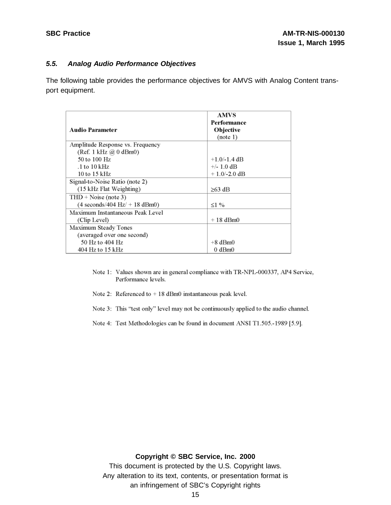#### **5.5. Analog Audio Performance Objectives**

The following table provides the performance objectives for AMVS with Analog Content transport equipment.

|                                  | <b>AMVS</b>    |
|----------------------------------|----------------|
|                                  | Performance    |
| <b>Audio Parameter</b>           | Objective      |
|                                  | (note 1)       |
| Amplitude Response vs. Frequency |                |
| (Ref. 1 kHz @ 0 dBm0)            |                |
| 50 to 100 Hz                     | $+1.0/-1.4$ dB |
| $.1$ to $10$ kHz                 | $+/- 1.0$ dB   |
| 10 to 15 kHz                     | $+1.0/-2.0$ dB |
| Signal-to-Noise Ratio (note 2)   |                |
| (15 kHz Flat Weighting)          | $≥63$ dB       |
| $THD + Noise$ (note 3)           |                |
| $(4 seconds/404 Hz + 18 dBm0)$   | $\leq1\%$      |
| Maximum Instantaneous Peak Level |                |
| (Clip Level)                     | $+18$ dBm $0$  |
| Maximum Steady Tones             |                |
| (averaged over one second)       |                |
| 50 Hz to 404 Hz                  | $+8$ dBm $0$   |
| 404 Hz to 15 kHz                 | 0 dBm0         |

- Note 1: Values shown are in general compliance with TR-NPL-000337, AP4 Service, Performance levels.
- Note 2: Referenced to  $+18$  dBm0 instantaneous peak level.
- Note 3: This "test only" level may not be continuously applied to the audio channel.
- Note 4: Test Methodologies can be found in document ANSI T1.505.-1989 [5.9].

#### **Copyright © SBC Service, Inc. 2000**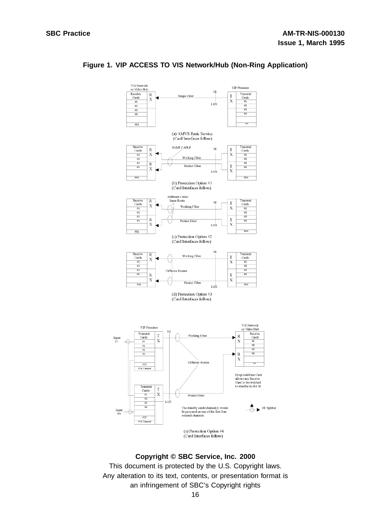

#### **Figure 1. VIP ACCESS TO VIS Network/Hub (Non-Ring Application)**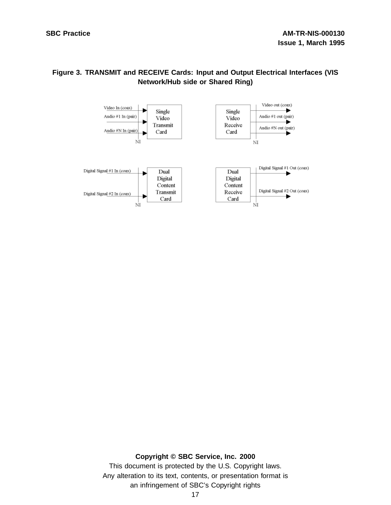### **Figure 3. TRANSMIT and RECEIVE Cards: Input and Output Electrical Interfaces (VIS Network/Hub side or Shared Ring)**



# **Copyright © SBC Service, Inc. 2000**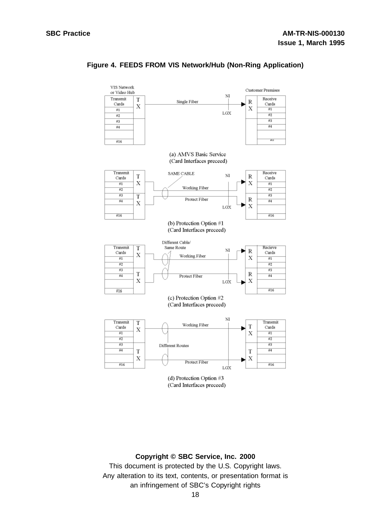

#### **Figure 4. FEEDS FROM VIS Network/Hub (Non-Ring Application)**

#### **Copyright © SBC Service, Inc. 2000**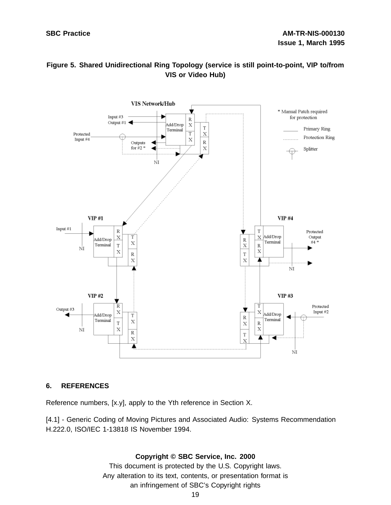

# **Figure 5. Shared Unidirectional Ring Topology (service is still point-to-point, VIP to/from VIS or Video Hub)**

#### **6. REFERENCES**

Reference numbers, [x.y], apply to the Yth reference in Section X.

[4.1] - Generic Coding of Moving Pictures and Associated Audio: Systems Recommendation H.222.0, ISO/IEC 1-13818 IS November 1994.

#### **Copyright © SBC Service, Inc. 2000**